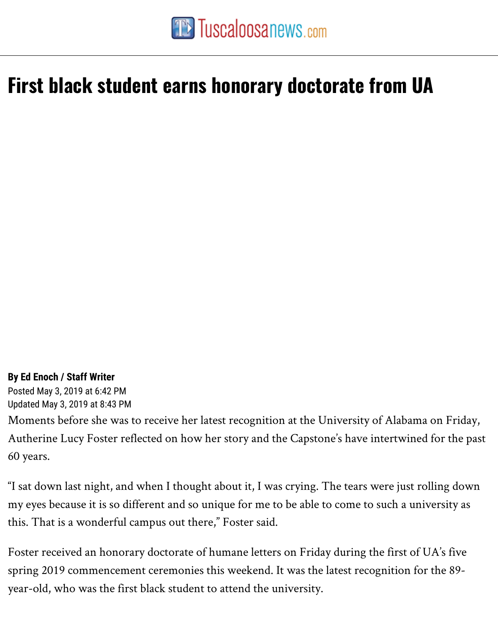## **First black student [earns honorary docto](https://www.tuscaloosanews.com/)rate from UA**

## **By Ed Enoch / Staff Writer**

Posted May 3, 2019 at 6:42 PM Updated May 3, 2019 at 8:43 PM Moments before she was to receive her latest recognition at the University of Alabam Autherine Lucy Foster reflected on how her story and the Capstone's have intertwine 60 years.

"I sat down last night, and when I thought about it, I was crying. The tears were just ro my eyes because it is so different and so unique for me to be able to come to such a uni this. That is a wonderful campus out there," Foster said.

Foster received an honorary doctorate of humane letters on Friday during the first of spring 2019 commencement ceremonies this weekend. It was the latest recognition fo year-old, who was the first black student to attend the university.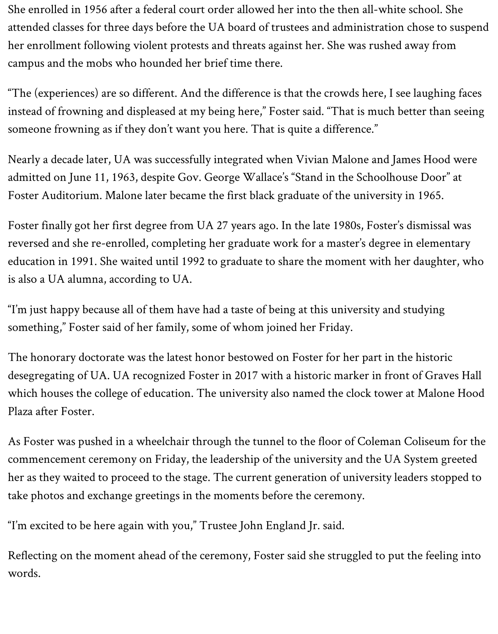She enrolled in 1956 after a federal court order allowed her into the then all-white school. She attended classes for three days before the UA board of trustees and administration chose to suspend her enrollment following violent protests and threats against her. She was rushed away from campus and the mobs who hounded her brief time there.

"The (experiences) are so different. And the difference is that the crowds here, I see laughing faces instead of frowning and displeased at my being here," Foster said. "That is much better than seeing someone frowning as if they don't want you here. That is quite a difference."

Nearly a decade later, UA was successfully integrated when Vivian Malone and James Hood were admitted on June 11, 1963, despite Gov. George Wallace's "Stand in the Schoolhouse Door" at Foster Auditorium. Malone later became the first black graduate of the university in 1965.

Foster finally got her first degree from UA 27 years ago. In the late 1980s, Foster's dismissal was reversed and she re-enrolled, completing her graduate work for a master's degree in elementary education in 1991. She waited until 1992 to graduate to share the moment with her daughter, who is also a UA alumna, according to UA.

"I'm just happy because all of them have had a taste of being at this university and studying something," Foster said of her family, some of whom joined her Friday.

The honorary doctorate was the latest honor bestowed on Foster for her part in the historic desegregating of UA. UA recognized Foster in 2017 with a historic marker in front of Graves Hall which houses the college of education. The university also named the clock tower at Malone Hood Plaza after Foster.

As Foster was pushed in a wheelchair through the tunnel to the floor of Coleman Coliseum for the commencement ceremony on Friday, the leadership of the university and the UA System greeted her as they waited to proceed to the stage. The current generation of university leaders stopped to take photos and exchange greetings in the moments before the ceremony.

"I'm excited to be here again with you," Trustee John England Jr. said.

Reflecting on the moment ahead of the ceremony, Foster said she struggled to put the feeling into words.